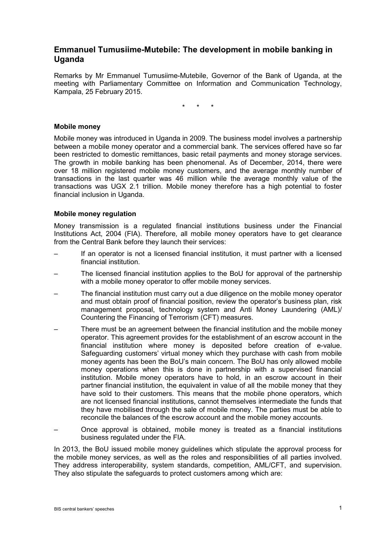# **Emmanuel Tumusiime-Mutebile: The development in mobile banking in Uganda**

Remarks by Mr Emmanuel Tumusiime-Mutebile, Governor of the Bank of Uganda, at the meeting with Parliamentary Committee on Information and Communication Technology, Kampala, 25 February 2015.

\* \* \*

# **Mobile money**

Mobile money was introduced in Uganda in 2009. The business model involves a partnership between a mobile money operator and a commercial bank. The services offered have so far been restricted to domestic remittances, basic retail payments and money storage services. The growth in mobile banking has been phenomenal. As of December, 2014, there were over 18 million registered mobile money customers, and the average monthly number of transactions in the last quarter was 46 million while the average monthly value of the transactions was UGX 2.1 trillion. Mobile money therefore has a high potential to foster financial inclusion in Uganda.

# **Mobile money regulation**

Money transmission is a regulated financial institutions business under the Financial Institutions Act, 2004 (FIA). Therefore, all mobile money operators have to get clearance from the Central Bank before they launch their services:

- If an operator is not a licensed financial institution, it must partner with a licensed financial institution.
- The licensed financial institution applies to the BoU for approval of the partnership with a mobile money operator to offer mobile money services.
- The financial institution must carry out a due diligence on the mobile money operator and must obtain proof of financial position, review the operator's business plan, risk management proposal, technology system and Anti Money Laundering (AML)/ Countering the Financing of Terrorism (CFT) measures.
- There must be an agreement between the financial institution and the mobile money operator. This agreement provides for the establishment of an escrow account in the financial institution where money is deposited before creation of e-value. Safeguarding customers' virtual money which they purchase with cash from mobile money agents has been the BoU's main concern. The BoU has only allowed mobile money operations when this is done in partnership with a supervised financial institution. Mobile money operators have to hold, in an escrow account in their partner financial institution, the equivalent in value of all the mobile money that they have sold to their customers. This means that the mobile phone operators, which are not licensed financial institutions, cannot themselves intermediate the funds that they have mobilised through the sale of mobile money. The parties must be able to reconcile the balances of the escrow account and the mobile money accounts.
- Once approval is obtained, mobile money is treated as a financial institutions business regulated under the FIA.

In 2013, the BoU issued mobile money guidelines which stipulate the approval process for the mobile money services, as well as the roles and responsibilities of all parties involved. They address interoperability, system standards, competition, AML/CFT, and supervision. They also stipulate the safeguards to protect customers among which are: